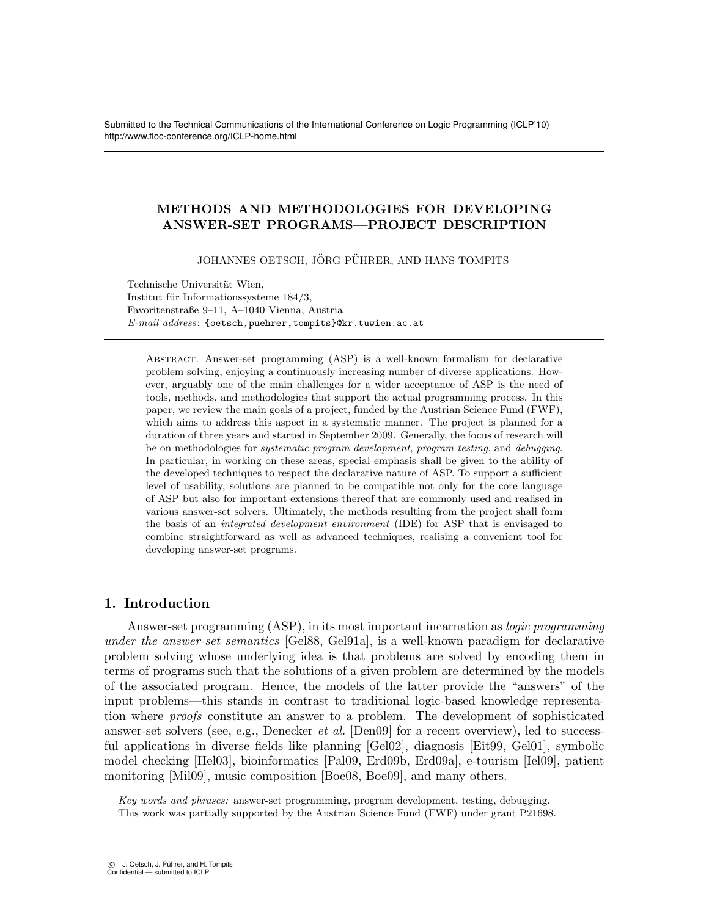Submitted to the Technical Communications of the International Conference on Logic Programming (ICLP'10) http://www.floc-conference.org/ICLP-home.html

# METHODS AND METHODOLOGIES FOR DEVELOPING ANSWER-SET PROGRAMS—PROJECT DESCRIPTION

JOHANNES OETSCH, JÖRG PÜHRER, AND HANS TOMPITS

Technische Universität Wien. Institut für Informationssysteme  $184/3$ , Favoritenstraße 9–11, A–1040 Vienna, Austria E-mail address: {oetsch,puehrer,tompits}@kr.tuwien.ac.at

Abstract. Answer-set programming (ASP) is a well-known formalism for declarative problem solving, enjoying a continuously increasing number of diverse applications. However, arguably one of the main challenges for a wider acceptance of ASP is the need of tools, methods, and methodologies that support the actual programming process. In this paper, we review the main goals of a project, funded by the Austrian Science Fund (FWF), which aims to address this aspect in a systematic manner. The project is planned for a duration of three years and started in September 2009. Generally, the focus of research will be on methodologies for systematic program development, program testing, and debugging. In particular, in working on these areas, special emphasis shall be given to the ability of the developed techniques to respect the declarative nature of ASP. To support a sufficient level of usability, solutions are planned to be compatible not only for the core language of ASP but also for important extensions thereof that are commonly used and realised in various answer-set solvers. Ultimately, the methods resulting from the project shall form the basis of an integrated development environment (IDE) for ASP that is envisaged to combine straightforward as well as advanced techniques, realising a convenient tool for developing answer-set programs.

## 1. Introduction

Answer-set programming (ASP), in its most important incarnation as logic programming under the answer-set semantics [Gel88, Gel91a], is a well-known paradigm for declarative problem solving whose underlying idea is that problems are solved by encoding them in terms of programs such that the solutions of a given problem are determined by the models of the associated program. Hence, the models of the latter provide the "answers" of the input problems—this stands in contrast to traditional logic-based knowledge representation where proofs constitute an answer to a problem. The development of sophisticated answer-set solvers (see, e.g., Denecker *et al.* [Den09] for a recent overview), led to successful applications in diverse fields like planning [Gel02], diagnosis [Eit99, Gel01], symbolic model checking [Hel03], bioinformatics [Pal09, Erd09b, Erd09a], e-tourism [Iel09], patient monitoring [Mil09], music composition [Boe08, Boe09], and many others.

Key words and phrases: answer-set programming, program development, testing, debugging.

This work was partially supported by the Austrian Science Fund (FWF) under grant P21698.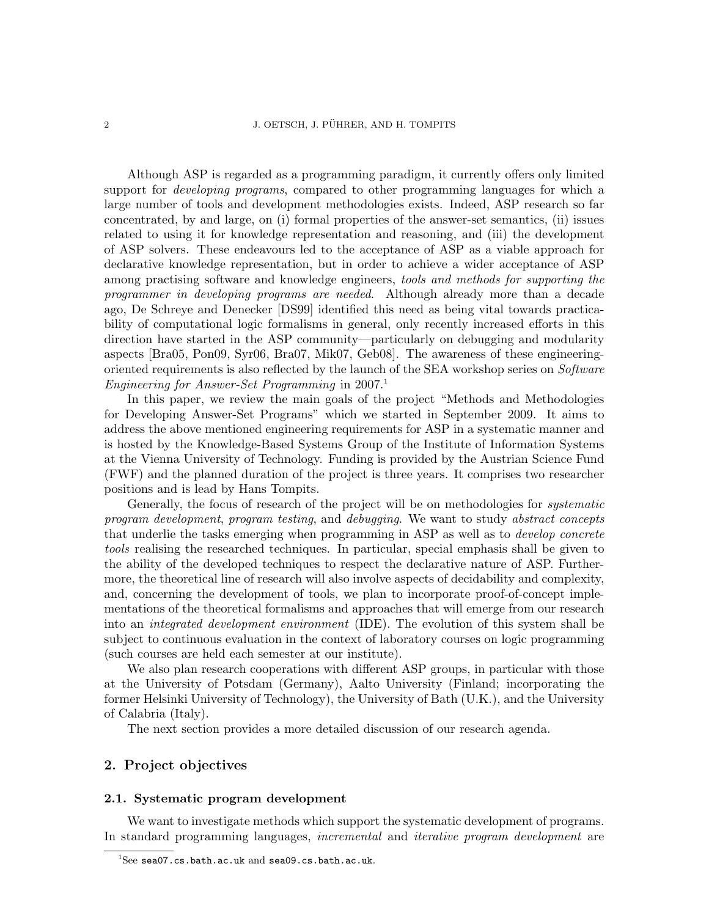Although ASP is regarded as a programming paradigm, it currently offers only limited support for *developing programs*, compared to other programming languages for which a large number of tools and development methodologies exists. Indeed, ASP research so far concentrated, by and large, on (i) formal properties of the answer-set semantics, (ii) issues related to using it for knowledge representation and reasoning, and (iii) the development of ASP solvers. These endeavours led to the acceptance of ASP as a viable approach for declarative knowledge representation, but in order to achieve a wider acceptance of ASP among practising software and knowledge engineers, tools and methods for supporting the programmer in developing programs are needed. Although already more than a decade ago, De Schreye and Denecker [DS99] identified this need as being vital towards practicability of computational logic formalisms in general, only recently increased efforts in this direction have started in the ASP community—particularly on debugging and modularity aspects [Bra05, Pon09, Syr06, Bra07, Mik07, Geb08]. The awareness of these engineeringoriented requirements is also reflected by the launch of the SEA workshop series on Software Engineering for Answer-Set Programming in  $2007$ <sup>1</sup>

In this paper, we review the main goals of the project "Methods and Methodologies for Developing Answer-Set Programs" which we started in September 2009. It aims to address the above mentioned engineering requirements for ASP in a systematic manner and is hosted by the Knowledge-Based Systems Group of the Institute of Information Systems at the Vienna University of Technology. Funding is provided by the Austrian Science Fund (FWF) and the planned duration of the project is three years. It comprises two researcher positions and is lead by Hans Tompits.

Generally, the focus of research of the project will be on methodologies for *systematic* program development, program testing, and debugging. We want to study abstract concepts that underlie the tasks emerging when programming in ASP as well as to *develop concrete* tools realising the researched techniques. In particular, special emphasis shall be given to the ability of the developed techniques to respect the declarative nature of ASP. Furthermore, the theoretical line of research will also involve aspects of decidability and complexity, and, concerning the development of tools, we plan to incorporate proof-of-concept implementations of the theoretical formalisms and approaches that will emerge from our research into an *integrated development environment* (IDE). The evolution of this system shall be subject to continuous evaluation in the context of laboratory courses on logic programming (such courses are held each semester at our institute).

We also plan research cooperations with different ASP groups, in particular with those at the University of Potsdam (Germany), Aalto University (Finland; incorporating the former Helsinki University of Technology), the University of Bath (U.K.), and the University of Calabria (Italy).

The next section provides a more detailed discussion of our research agenda.

## 2. Project objectives

### 2.1. Systematic program development

We want to investigate methods which support the systematic development of programs. In standard programming languages, incremental and iterative program development are

 $1$ See sea07.cs.bath.ac.uk and sea09.cs.bath.ac.uk.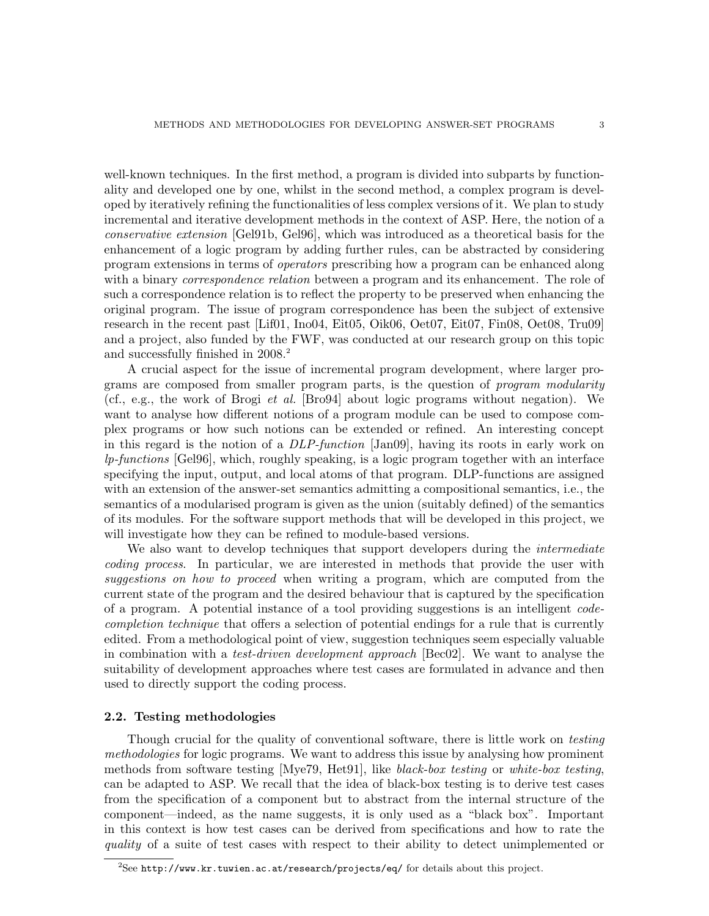well-known techniques. In the first method, a program is divided into subparts by functionality and developed one by one, whilst in the second method, a complex program is developed by iteratively refining the functionalities of less complex versions of it. We plan to study incremental and iterative development methods in the context of ASP. Here, the notion of a conservative extension [Gel91b, Gel96], which was introduced as a theoretical basis for the enhancement of a logic program by adding further rules, can be abstracted by considering program extensions in terms of operators prescribing how a program can be enhanced along with a binary *correspondence relation* between a program and its enhancement. The role of such a correspondence relation is to reflect the property to be preserved when enhancing the original program. The issue of program correspondence has been the subject of extensive research in the recent past [Lif01, Ino04, Eit05, Oik06, Oet07, Eit07, Fin08, Oet08, Tru09] and a project, also funded by the FWF, was conducted at our research group on this topic and successfully finished in 2008.<sup>2</sup>

A crucial aspect for the issue of incremental program development, where larger programs are composed from smaller program parts, is the question of program modularity (cf., e.g., the work of Brogi et al. [Bro94] about logic programs without negation). We want to analyse how different notions of a program module can be used to compose complex programs or how such notions can be extended or refined. An interesting concept in this regard is the notion of a DLP-function [Jan09], having its roots in early work on lp-functions [Gel96], which, roughly speaking, is a logic program together with an interface specifying the input, output, and local atoms of that program. DLP-functions are assigned with an extension of the answer-set semantics admitting a compositional semantics, i.e., the semantics of a modularised program is given as the union (suitably defined) of the semantics of its modules. For the software support methods that will be developed in this project, we will investigate how they can be refined to module-based versions.

We also want to develop techniques that support developers during the *intermediate* coding process. In particular, we are interested in methods that provide the user with suggestions on how to proceed when writing a program, which are computed from the current state of the program and the desired behaviour that is captured by the specification of a program. A potential instance of a tool providing suggestions is an intelligent codecompletion technique that offers a selection of potential endings for a rule that is currently edited. From a methodological point of view, suggestion techniques seem especially valuable in combination with a test-driven development approach [Bec02]. We want to analyse the suitability of development approaches where test cases are formulated in advance and then used to directly support the coding process.

#### 2.2. Testing methodologies

Though crucial for the quality of conventional software, there is little work on *testing* methodologies for logic programs. We want to address this issue by analysing how prominent methods from software testing [Mye79, Het91], like black-box testing or white-box testing, can be adapted to ASP. We recall that the idea of black-box testing is to derive test cases from the specification of a component but to abstract from the internal structure of the component—indeed, as the name suggests, it is only used as a "black box". Important in this context is how test cases can be derived from specifications and how to rate the quality of a suite of test cases with respect to their ability to detect unimplemented or

 ${}^{2}$ See http://www.kr.tuwien.ac.at/research/projects/eq/ for details about this project.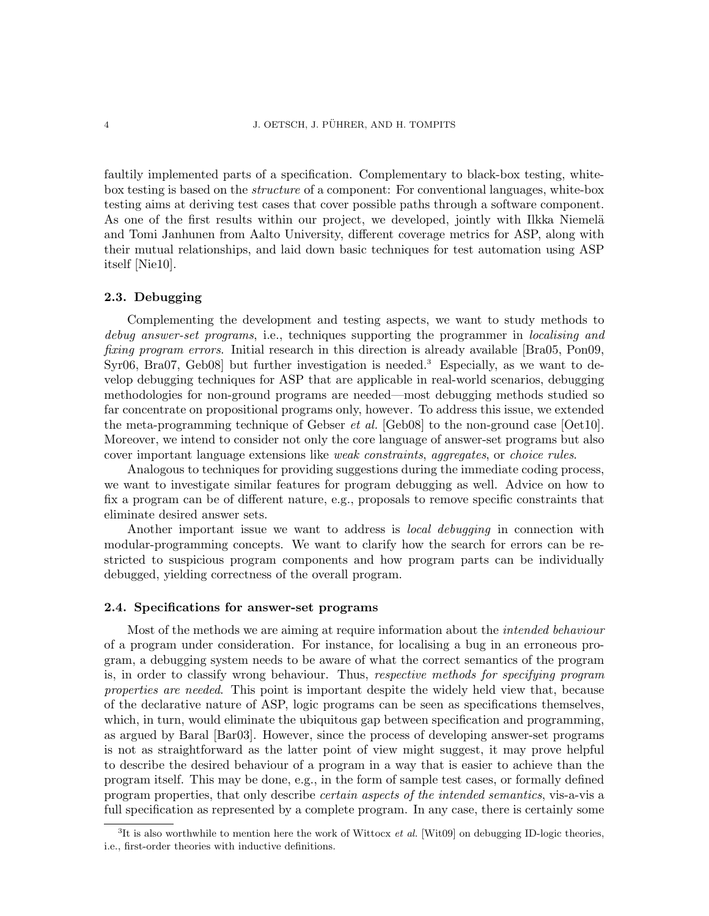faultily implemented parts of a specification. Complementary to black-box testing, whitebox testing is based on the structure of a component: For conventional languages, white-box testing aims at deriving test cases that cover possible paths through a software component. As one of the first results within our project, we developed, jointly with Ilkka Niemelä and Tomi Janhunen from Aalto University, different coverage metrics for ASP, along with their mutual relationships, and laid down basic techniques for test automation using ASP itself [Nie10].

#### 2.3. Debugging

Complementing the development and testing aspects, we want to study methods to debug answer-set programs, i.e., techniques supporting the programmer in localising and fixing program errors. Initial research in this direction is already available [Bra05, Pon09, Syr06, Bra07, Geb08 but further investigation is needed.<sup>3</sup> Especially, as we want to develop debugging techniques for ASP that are applicable in real-world scenarios, debugging methodologies for non-ground programs are needed—most debugging methods studied so far concentrate on propositional programs only, however. To address this issue, we extended the meta-programming technique of Gebser *et al.* [Geb08] to the non-ground case  $[Oet10]$ . Moreover, we intend to consider not only the core language of answer-set programs but also cover important language extensions like weak constraints, aggregates, or choice rules.

Analogous to techniques for providing suggestions during the immediate coding process, we want to investigate similar features for program debugging as well. Advice on how to fix a program can be of different nature, e.g., proposals to remove specific constraints that eliminate desired answer sets.

Another important issue we want to address is *local debugging* in connection with modular-programming concepts. We want to clarify how the search for errors can be restricted to suspicious program components and how program parts can be individually debugged, yielding correctness of the overall program.

### 2.4. Specifications for answer-set programs

Most of the methods we are aiming at require information about the intended behaviour of a program under consideration. For instance, for localising a bug in an erroneous program, a debugging system needs to be aware of what the correct semantics of the program is, in order to classify wrong behaviour. Thus, *respective methods for specifying program* properties are needed. This point is important despite the widely held view that, because of the declarative nature of ASP, logic programs can be seen as specifications themselves, which, in turn, would eliminate the ubiquitous gap between specification and programming, as argued by Baral [Bar03]. However, since the process of developing answer-set programs is not as straightforward as the latter point of view might suggest, it may prove helpful to describe the desired behaviour of a program in a way that is easier to achieve than the program itself. This may be done, e.g., in the form of sample test cases, or formally defined program properties, that only describe certain aspects of the intended semantics, vis-a-vis a full specification as represented by a complete program. In any case, there is certainly some

 ${}^{3}$ It is also worthwhile to mention here the work of Wittocx *et al.* [Wit09] on debugging ID-logic theories, i.e., first-order theories with inductive definitions.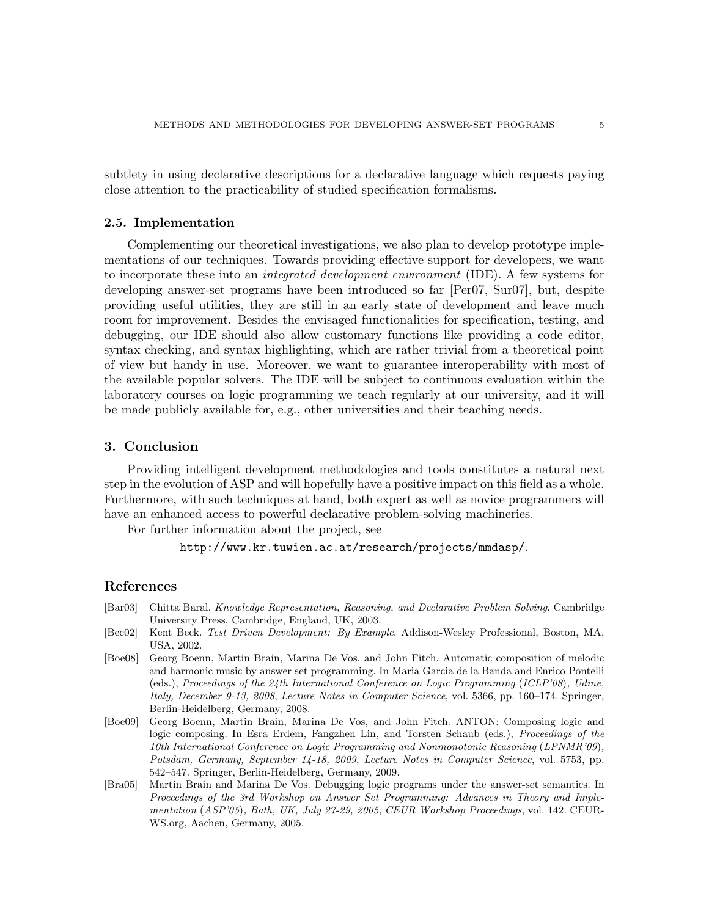subtlety in using declarative descriptions for a declarative language which requests paying close attention to the practicability of studied specification formalisms.

### 2.5. Implementation

Complementing our theoretical investigations, we also plan to develop prototype implementations of our techniques. Towards providing effective support for developers, we want to incorporate these into an integrated development environment (IDE). A few systems for developing answer-set programs have been introduced so far [Per07, Sur07], but, despite providing useful utilities, they are still in an early state of development and leave much room for improvement. Besides the envisaged functionalities for specification, testing, and debugging, our IDE should also allow customary functions like providing a code editor, syntax checking, and syntax highlighting, which are rather trivial from a theoretical point of view but handy in use. Moreover, we want to guarantee interoperability with most of the available popular solvers. The IDE will be subject to continuous evaluation within the laboratory courses on logic programming we teach regularly at our university, and it will be made publicly available for, e.g., other universities and their teaching needs.

## 3. Conclusion

Providing intelligent development methodologies and tools constitutes a natural next step in the evolution of ASP and will hopefully have a positive impact on this field as a whole. Furthermore, with such techniques at hand, both expert as well as novice programmers will have an enhanced access to powerful declarative problem-solving machineries.

For further information about the project, see

http://www.kr.tuwien.ac.at/research/projects/mmdasp/.

#### References

- [Bar03] Chitta Baral. Knowledge Representation, Reasoning, and Declarative Problem Solving. Cambridge University Press, Cambridge, England, UK, 2003.
- [Bec02] Kent Beck. Test Driven Development: By Example. Addison-Wesley Professional, Boston, MA, USA, 2002.
- [Boe08] Georg Boenn, Martin Brain, Marina De Vos, and John Fitch. Automatic composition of melodic and harmonic music by answer set programming. In Maria Garcia de la Banda and Enrico Pontelli (eds.), Proceedings of the 24th International Conference on Logic Programming (ICLP'08), Udine, Italy, December 9-13, 2008, Lecture Notes in Computer Science, vol. 5366, pp. 160–174. Springer, Berlin-Heidelberg, Germany, 2008.
- [Boe09] Georg Boenn, Martin Brain, Marina De Vos, and John Fitch. ANTON: Composing logic and logic composing. In Esra Erdem, Fangzhen Lin, and Torsten Schaub (eds.), Proceedings of the 10th International Conference on Logic Programming and Nonmonotonic Reasoning (LPNMR'09), Potsdam, Germany, September 14-18, 2009, Lecture Notes in Computer Science, vol. 5753, pp. 542–547. Springer, Berlin-Heidelberg, Germany, 2009.
- [Bra05] Martin Brain and Marina De Vos. Debugging logic programs under the answer-set semantics. In Proceedings of the 3rd Workshop on Answer Set Programming: Advances in Theory and Implementation (ASP'05), Bath, UK, July 27-29, 2005, CEUR Workshop Proceedings, vol. 142. CEUR-WS.org, Aachen, Germany, 2005.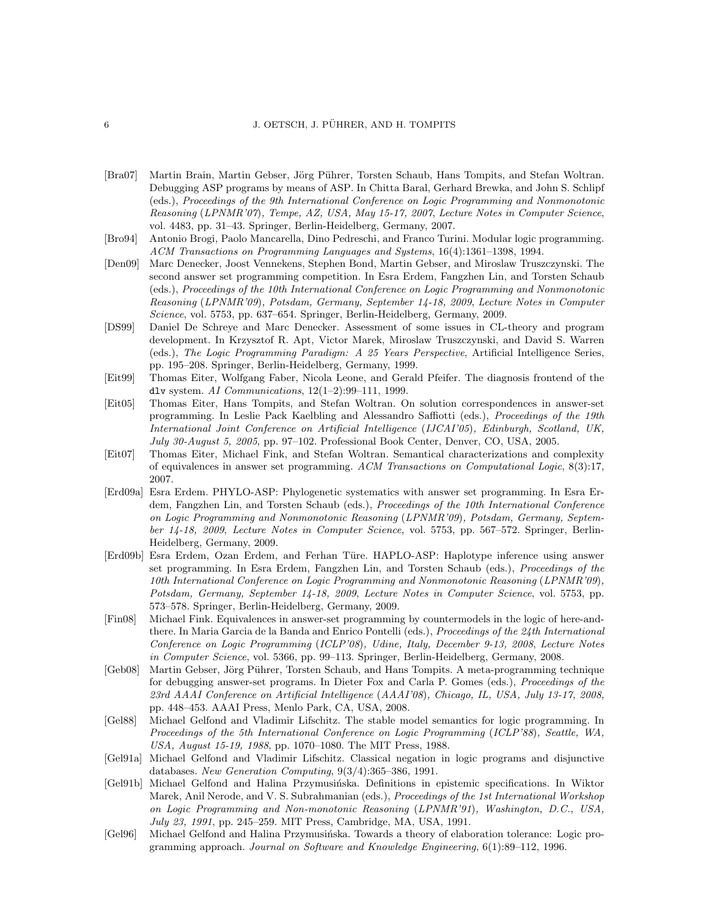#### 6 **5 J. OETSCH, J. PÜHRER, AND H. TOMPITS**

- [Bra07] Martin Brain, Martin Gebser, Jörg Pührer, Torsten Schaub, Hans Tompits, and Stefan Woltran. Debugging ASP programs by means of ASP. In Chitta Baral, Gerhard Brewka, and John S. Schlipf (eds.), Proceedings of the 9th International Conference on Logic Programming and Nonmonotonic Reasoning (LPNMR'07), Tempe, AZ, USA, May 15-17, 2007, Lecture Notes in Computer Science, vol. 4483, pp. 31–43. Springer, Berlin-Heidelberg, Germany, 2007.
- [Bro94] Antonio Brogi, Paolo Mancarella, Dino Pedreschi, and Franco Turini. Modular logic programming. ACM Transactions on Programming Languages and Systems, 16(4):1361–1398, 1994.
- [Den09] Marc Denecker, Joost Vennekens, Stephen Bond, Martin Gebser, and Miroslaw Truszczynski. The second answer set programming competition. In Esra Erdem, Fangzhen Lin, and Torsten Schaub (eds.), Proceedings of the 10th International Conference on Logic Programming and Nonmonotonic Reasoning (LPNMR'09), Potsdam, Germany, September 14-18, 2009, Lecture Notes in Computer Science, vol. 5753, pp. 637–654. Springer, Berlin-Heidelberg, Germany, 2009.
- [DS99] Daniel De Schreye and Marc Denecker. Assessment of some issues in CL-theory and program development. In Krzysztof R. Apt, Victor Marek, Miroslaw Truszczynski, and David S. Warren (eds.), The Logic Programming Paradigm: A 25 Years Perspective, Artificial Intelligence Series, pp. 195–208. Springer, Berlin-Heidelberg, Germany, 1999.
- [Eit99] Thomas Eiter, Wolfgang Faber, Nicola Leone, and Gerald Pfeifer. The diagnosis frontend of the dlv system. AI Communications, 12(1–2):99–111, 1999.
- [Eit05] Thomas Eiter, Hans Tompits, and Stefan Woltran. On solution correspondences in answer-set programming. In Leslie Pack Kaelbling and Alessandro Saffiotti (eds.), *Proceedings of the 19th* International Joint Conference on Artificial Intelligence (IJCAI'05), Edinburgh, Scotland, UK, July 30-August 5, 2005, pp. 97–102. Professional Book Center, Denver, CO, USA, 2005.
- [Eit07] Thomas Eiter, Michael Fink, and Stefan Woltran. Semantical characterizations and complexity of equivalences in answer set programming. ACM Transactions on Computational Logic, 8(3):17, 2007.
- [Erd09a] Esra Erdem. PHYLO-ASP: Phylogenetic systematics with answer set programming. In Esra Erdem, Fangzhen Lin, and Torsten Schaub (eds.), Proceedings of the 10th International Conference on Logic Programming and Nonmonotonic Reasoning (LPNMR'09), Potsdam, Germany, September 14-18, 2009, Lecture Notes in Computer Science, vol. 5753, pp. 567–572. Springer, Berlin-Heidelberg, Germany, 2009.
- [Erd09b] Esra Erdem, Ozan Erdem, and Ferhan Türe. HAPLO-ASP: Haplotype inference using answer set programming. In Esra Erdem, Fangzhen Lin, and Torsten Schaub (eds.), Proceedings of the 10th International Conference on Logic Programming and Nonmonotonic Reasoning (LPNMR'09), Potsdam, Germany, September 14-18, 2009, Lecture Notes in Computer Science, vol. 5753, pp. 573–578. Springer, Berlin-Heidelberg, Germany, 2009.
- [Fin08] Michael Fink. Equivalences in answer-set programming by countermodels in the logic of here-andthere. In Maria Garcia de la Banda and Enrico Pontelli (eds.), Proceedings of the 24th International Conference on Logic Programming (ICLP'08), Udine, Italy, December 9-13, 2008, Lecture Notes in Computer Science, vol. 5366, pp. 99–113. Springer, Berlin-Heidelberg, Germany, 2008.
- [Geb08] Martin Gebser, Jörg Pührer, Torsten Schaub, and Hans Tompits. A meta-programming technique for debugging answer-set programs. In Dieter Fox and Carla P. Gomes (eds.), Proceedings of the 23rd AAAI Conference on Artificial Intelligence (AAAI'08), Chicago, IL, USA, July 13-17, 2008, pp. 448–453. AAAI Press, Menlo Park, CA, USA, 2008.
- [Gel88] Michael Gelfond and Vladimir Lifschitz. The stable model semantics for logic programming. In Proceedings of the 5th International Conference on Logic Programming (ICLP'88), Seattle, WA, USA, August 15-19, 1988, pp. 1070–1080. The MIT Press, 1988.
- [Gel91a] Michael Gelfond and Vladimir Lifschitz. Classical negation in logic programs and disjunctive databases. New Generation Computing, 9(3/4):365–386, 1991.
- [Gel91b] Michael Gelfond and Halina Przymusińska. Definitions in epistemic specifications. In Wiktor Marek, Anil Nerode, and V. S. Subrahmanian (eds.), Proceedings of the 1st International Workshop on Logic Programming and Non-monotonic Reasoning (LPNMR'91), Washington, D.C., USA, July 23, 1991, pp. 245–259. MIT Press, Cambridge, MA, USA, 1991.
- [Gel96] Michael Gelfond and Halina Przymusińska. Towards a theory of elaboration tolerance: Logic programming approach. Journal on Software and Knowledge Engineering, 6(1):89–112, 1996.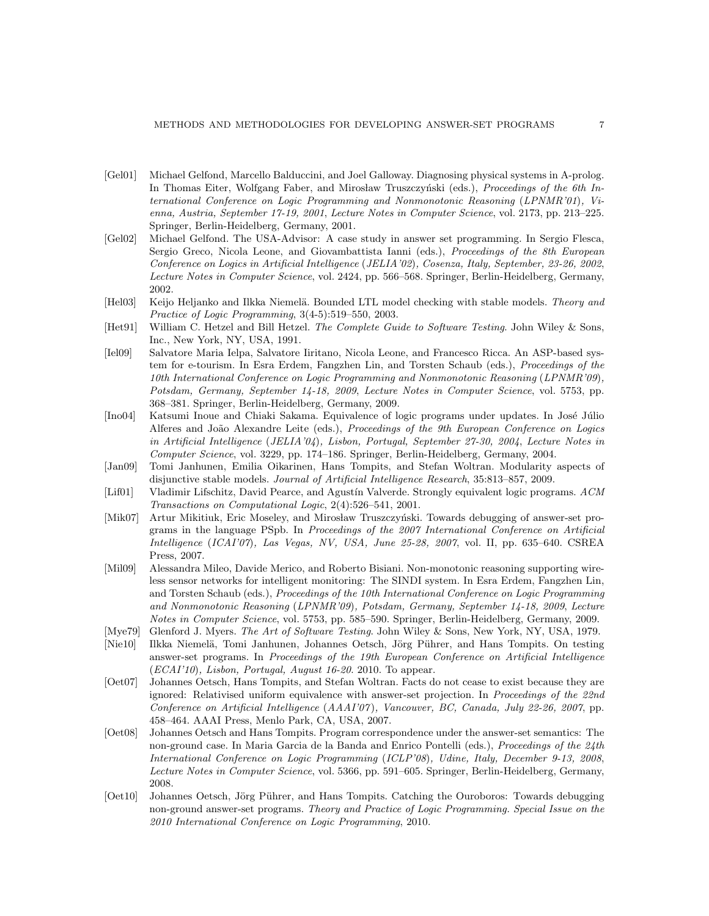- [Gel01] Michael Gelfond, Marcello Balduccini, and Joel Galloway. Diagnosing physical systems in A-prolog. In Thomas Eiter, Wolfgang Faber, and Mirosław Truszczyński (eds.), *Proceedings of the 6th In*ternational Conference on Logic Programming and Nonmonotonic Reasoning (LPNMR'01), Vienna, Austria, September 17-19, 2001, Lecture Notes in Computer Science, vol. 2173, pp. 213–225. Springer, Berlin-Heidelberg, Germany, 2001.
- [Gel02] Michael Gelfond. The USA-Advisor: A case study in answer set programming. In Sergio Flesca, Sergio Greco, Nicola Leone, and Giovambattista Ianni (eds.), Proceedings of the 8th European Conference on Logics in Artificial Intelligence (JELIA'02), Cosenza, Italy, September, 23-26, 2002, Lecture Notes in Computer Science, vol. 2424, pp. 566–568. Springer, Berlin-Heidelberg, Germany, 2002.
- [Hel03] Keijo Heljanko and Ilkka Niemelä. Bounded LTL model checking with stable models. Theory and Practice of Logic Programming, 3(4-5):519–550, 2003.
- [Het91] William C. Hetzel and Bill Hetzel. The Complete Guide to Software Testing. John Wiley & Sons, Inc., New York, NY, USA, 1991.
- [Iel09] Salvatore Maria Ielpa, Salvatore Iiritano, Nicola Leone, and Francesco Ricca. An ASP-based system for e-tourism. In Esra Erdem, Fangzhen Lin, and Torsten Schaub (eds.), Proceedings of the 10th International Conference on Logic Programming and Nonmonotonic Reasoning (LPNMR'09), Potsdam, Germany, September 14-18, 2009, Lecture Notes in Computer Science, vol. 5753, pp. 368–381. Springer, Berlin-Heidelberg, Germany, 2009.
- [Ino04] Katsumi Inoue and Chiaki Sakama. Equivalence of logic programs under updates. In José Júlio Alferes and João Alexandre Leite (eds.), Proceedings of the 9th European Conference on Logics in Artificial Intelligence (JELIA'04), Lisbon, Portugal, September 27-30, 2004, Lecture Notes in Computer Science, vol. 3229, pp. 174–186. Springer, Berlin-Heidelberg, Germany, 2004.
- [Jan09] Tomi Janhunen, Emilia Oikarinen, Hans Tompits, and Stefan Woltran. Modularity aspects of disjunctive stable models. Journal of Artificial Intelligence Research, 35:813–857, 2009.
- [Lif01] Vladimir Lifschitz, David Pearce, and Agustín Valverde. Strongly equivalent logic programs. ACM Transactions on Computational Logic, 2(4):526–541, 2001.
- [Mik07] Artur Mikitiuk, Eric Moseley, and Mirosław Truszczyński. Towards debugging of answer-set programs in the language PSpb. In Proceedings of the 2007 International Conference on Artificial Intelligence (ICAI'07), Las Vegas, NV, USA, June 25-28, 2007, vol. II, pp. 635–640. CSREA Press, 2007.
- [Mil09] Alessandra Mileo, Davide Merico, and Roberto Bisiani. Non-monotonic reasoning supporting wireless sensor networks for intelligent monitoring: The SINDI system. In Esra Erdem, Fangzhen Lin, and Torsten Schaub (eds.), Proceedings of the 10th International Conference on Logic Programming and Nonmonotonic Reasoning (LPNMR'09), Potsdam, Germany, September 14-18, 2009, Lecture Notes in Computer Science, vol. 5753, pp. 585–590. Springer, Berlin-Heidelberg, Germany, 2009.
- [Mye79] Glenford J. Myers. The Art of Software Testing. John Wiley & Sons, New York, NY, USA, 1979.
- [Nie10] Ilkka Niemelä, Tomi Janhunen, Johannes Oetsch, Jörg Pührer, and Hans Tompits. On testing answer-set programs. In Proceedings of the 19th European Conference on Artificial Intelligence  $(ECAI'10)$ , Lisbon, Portugal, August 16-20. 2010. To appear.
- [Oet07] Johannes Oetsch, Hans Tompits, and Stefan Woltran. Facts do not cease to exist because they are ignored: Relativised uniform equivalence with answer-set projection. In Proceedings of the 22nd Conference on Artificial Intelligence (AAAI'07), Vancouver, BC, Canada, July 22-26, 2007, pp. 458–464. AAAI Press, Menlo Park, CA, USA, 2007.
- [Oet08] Johannes Oetsch and Hans Tompits. Program correspondence under the answer-set semantics: The non-ground case. In Maria Garcia de la Banda and Enrico Pontelli (eds.), *Proceedings of the 24th* International Conference on Logic Programming (ICLP'08), Udine, Italy, December 9-13, 2008, Lecture Notes in Computer Science, vol. 5366, pp. 591–605. Springer, Berlin-Heidelberg, Germany, 2008.
- [Oet10] Johannes Oetsch, Jörg Pührer, and Hans Tompits. Catching the Ouroboros: Towards debugging non-ground answer-set programs. Theory and Practice of Logic Programming. Special Issue on the 2010 International Conference on Logic Programming, 2010.